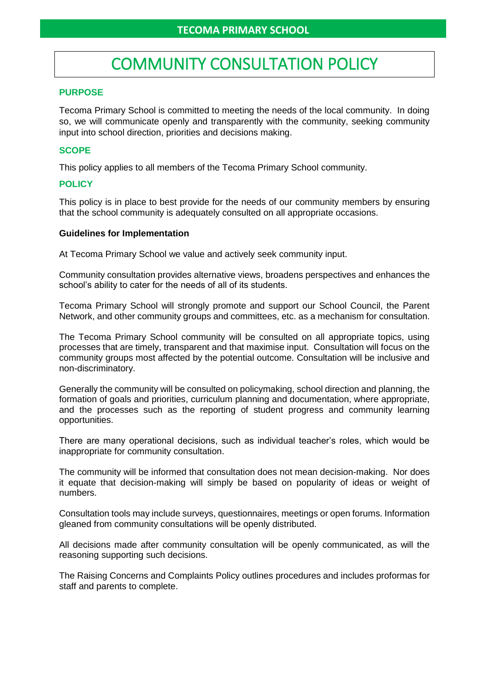# COMMUNITY CONSULTATION POLICY

### **PURPOSE**

Tecoma Primary School is committed to meeting the needs of the local community. In doing so, we will communicate openly and transparently with the community, seeking community input into school direction, priorities and decisions making.

## **SCOPE**

This policy applies to all members of the Tecoma Primary School community.

## **POLICY**

This policy is in place to best provide for the needs of our community members by ensuring that the school community is adequately consulted on all appropriate occasions.

#### **Guidelines for Implementation**

At Tecoma Primary School we value and actively seek community input.

Community consultation provides alternative views, broadens perspectives and enhances the school's ability to cater for the needs of all of its students.

Tecoma Primary School will strongly promote and support our School Council, the Parent Network, and other community groups and committees, etc. as a mechanism for consultation.

The Tecoma Primary School community will be consulted on all appropriate topics, using processes that are timely, transparent and that maximise input. Consultation will focus on the community groups most affected by the potential outcome. Consultation will be inclusive and non-discriminatory.

Generally the community will be consulted on policymaking, school direction and planning, the formation of goals and priorities, curriculum planning and documentation, where appropriate, and the processes such as the reporting of student progress and community learning opportunities.

There are many operational decisions, such as individual teacher's roles, which would be inappropriate for community consultation.

The community will be informed that consultation does not mean decision-making. Nor does it equate that decision-making will simply be based on popularity of ideas or weight of numbers.

Consultation tools may include surveys, questionnaires, meetings or open forums. Information gleaned from community consultations will be openly distributed.

All decisions made after community consultation will be openly communicated, as will the reasoning supporting such decisions.

The Raising Concerns and Complaints Policy outlines procedures and includes proformas for staff and parents to complete.